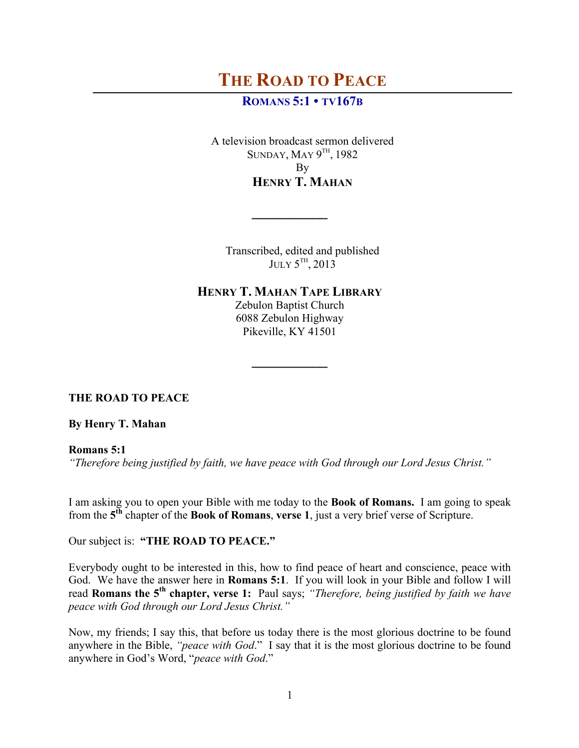## **ROMANS 5:1 • TV167B**

A television broadcast sermon delivered SUNDAY, MAY  $9^{TH}$ , 1982 By **HENRY T. MAHAN**

Transcribed, edited and published JULY 5<sup>TH</sup>, 2013

**HENRY T. MAHAN TAPE LIBRARY**

**\_\_\_\_\_\_\_\_\_\_**

Zebulon Baptist Church 6088 Zebulon Highway Pikeville, KY 41501

**\_\_\_\_\_\_\_\_\_\_**

**THE ROAD TO PEACE**

**By Henry T. Mahan**

**Romans 5:1**

*"Therefore being justified by faith, we have peace with God through our Lord Jesus Christ."*

I am asking you to open your Bible with me today to the **Book of Romans.** I am going to speak from the **5th** chapter of the **Book of Romans**, **verse 1**, just a very brief verse of Scripture.

Our subject is: **"THE ROAD TO PEACE."**

Everybody ought to be interested in this, how to find peace of heart and conscience, peace with God. We have the answer here in **Romans 5:1**. If you will look in your Bible and follow I will read **Romans the 5th chapter, verse 1:** Paul says; *"Therefore, being justified by faith we have peace with God through our Lord Jesus Christ."*

Now, my friends; I say this, that before us today there is the most glorious doctrine to be found anywhere in the Bible, *"peace with God*." I say that it is the most glorious doctrine to be found anywhere in God's Word, "*peace with God*."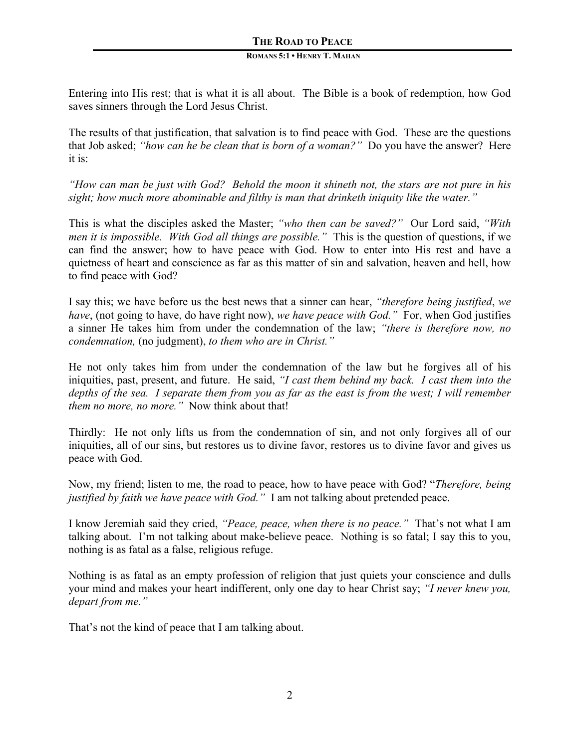#### **ROMANS 5:1 • HENRY T. MAHAN**

Entering into His rest; that is what it is all about. The Bible is a book of redemption, how God saves sinners through the Lord Jesus Christ.

The results of that justification, that salvation is to find peace with God. These are the questions that Job asked; *"how can he be clean that is born of a woman?"* Do you have the answer? Here it is:

*"How can man be just with God? Behold the moon it shineth not, the stars are not pure in his sight; how much more abominable and filthy is man that drinketh iniquity like the water."*

This is what the disciples asked the Master; *"who then can be saved?"* Our Lord said, *"With men it is impossible. With God all things are possible."* This is the question of questions, if we can find the answer; how to have peace with God. How to enter into His rest and have a quietness of heart and conscience as far as this matter of sin and salvation, heaven and hell, how to find peace with God?

I say this; we have before us the best news that a sinner can hear, *"therefore being justified*, *we have*, (not going to have, do have right now), *we have peace with God."* For, when God justifies a sinner He takes him from under the condemnation of the law; *"there is therefore now, no condemnation,* (no judgment), *to them who are in Christ."*

He not only takes him from under the condemnation of the law but he forgives all of his iniquities, past, present, and future. He said, *"I cast them behind my back. I cast them into the depths of the sea. I separate them from you as far as the east is from the west; I will remember them no more, no more."* Now think about that!

Thirdly: He not only lifts us from the condemnation of sin, and not only forgives all of our iniquities, all of our sins, but restores us to divine favor, restores us to divine favor and gives us peace with God.

Now, my friend; listen to me, the road to peace, how to have peace with God? "*Therefore, being justified by faith we have peace with God."* I am not talking about pretended peace.

I know Jeremiah said they cried, *"Peace, peace, when there is no peace."* That's not what I am talking about. I'm not talking about make-believe peace. Nothing is so fatal; I say this to you, nothing is as fatal as a false, religious refuge.

Nothing is as fatal as an empty profession of religion that just quiets your conscience and dulls your mind and makes your heart indifferent, only one day to hear Christ say; *"I never knew you, depart from me."* 

That's not the kind of peace that I am talking about.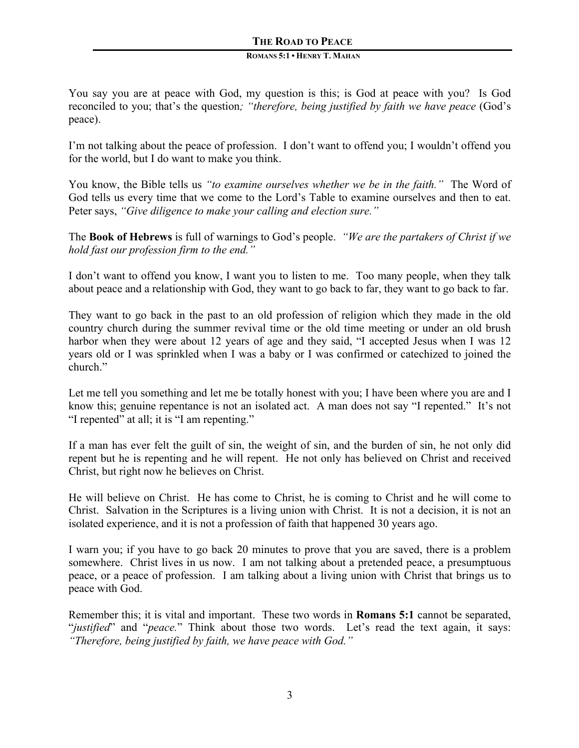#### **ROMANS 5:1 • HENRY T. MAHAN**

You say you are at peace with God, my question is this; is God at peace with you? Is God reconciled to you; that's the question*; "therefore, being justified by faith we have peace* (God's peace).

I'm not talking about the peace of profession. I don't want to offend you; I wouldn't offend you for the world, but I do want to make you think.

You know, the Bible tells us *"to examine ourselves whether we be in the faith."* The Word of God tells us every time that we come to the Lord's Table to examine ourselves and then to eat. Peter says, *"Give diligence to make your calling and election sure."*

The **Book of Hebrews** is full of warnings to God's people. *"We are the partakers of Christ if we hold fast our profession firm to the end."* 

I don't want to offend you know, I want you to listen to me. Too many people, when they talk about peace and a relationship with God, they want to go back to far, they want to go back to far.

They want to go back in the past to an old profession of religion which they made in the old country church during the summer revival time or the old time meeting or under an old brush harbor when they were about 12 years of age and they said, "I accepted Jesus when I was 12 years old or I was sprinkled when I was a baby or I was confirmed or catechized to joined the church."

Let me tell you something and let me be totally honest with you; I have been where you are and I know this; genuine repentance is not an isolated act. A man does not say "I repented." It's not "I repented" at all; it is "I am repenting."

If a man has ever felt the guilt of sin, the weight of sin, and the burden of sin, he not only did repent but he is repenting and he will repent. He not only has believed on Christ and received Christ, but right now he believes on Christ.

He will believe on Christ. He has come to Christ, he is coming to Christ and he will come to Christ. Salvation in the Scriptures is a living union with Christ. It is not a decision, it is not an isolated experience, and it is not a profession of faith that happened 30 years ago.

I warn you; if you have to go back 20 minutes to prove that you are saved, there is a problem somewhere. Christ lives in us now. I am not talking about a pretended peace, a presumptuous peace, or a peace of profession. I am talking about a living union with Christ that brings us to peace with God.

Remember this; it is vital and important. These two words in **Romans 5:1** cannot be separated, "*justified*" and "*peace.*" Think about those two words. Let's read the text again, it says: *"Therefore, being justified by faith, we have peace with God."*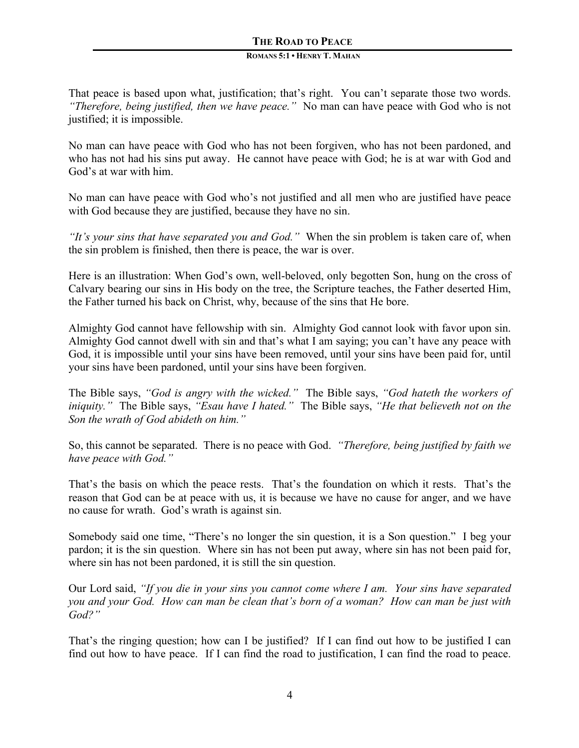#### **ROMANS 5:1 • HENRY T. MAHAN**

That peace is based upon what, justification; that's right. You can't separate those two words. *"Therefore, being justified, then we have peace."* No man can have peace with God who is not justified; it is impossible.

No man can have peace with God who has not been forgiven, who has not been pardoned, and who has not had his sins put away. He cannot have peace with God; he is at war with God and God's at war with him.

No man can have peace with God who's not justified and all men who are justified have peace with God because they are justified, because they have no sin.

*"It's your sins that have separated you and God."* When the sin problem is taken care of, when the sin problem is finished, then there is peace, the war is over.

Here is an illustration: When God's own, well-beloved, only begotten Son, hung on the cross of Calvary bearing our sins in His body on the tree, the Scripture teaches, the Father deserted Him, the Father turned his back on Christ, why, because of the sins that He bore.

Almighty God cannot have fellowship with sin. Almighty God cannot look with favor upon sin. Almighty God cannot dwell with sin and that's what I am saying; you can't have any peace with God, it is impossible until your sins have been removed, until your sins have been paid for, until your sins have been pardoned, until your sins have been forgiven.

The Bible says, *"God is angry with the wicked."* The Bible says, *"God hateth the workers of iniquity."* The Bible says, *"Esau have I hated."* The Bible says, *"He that believeth not on the Son the wrath of God abideth on him."*

So, this cannot be separated. There is no peace with God. *"Therefore, being justified by faith we have peace with God."* 

That's the basis on which the peace rests. That's the foundation on which it rests. That's the reason that God can be at peace with us, it is because we have no cause for anger, and we have no cause for wrath. God's wrath is against sin.

Somebody said one time, "There's no longer the sin question, it is a Son question." I beg your pardon; it is the sin question. Where sin has not been put away, where sin has not been paid for, where sin has not been pardoned, it is still the sin question.

Our Lord said, *"If you die in your sins you cannot come where I am. Your sins have separated you and your God. How can man be clean that's born of a woman? How can man be just with God?"* 

That's the ringing question; how can I be justified? If I can find out how to be justified I can find out how to have peace. If I can find the road to justification, I can find the road to peace.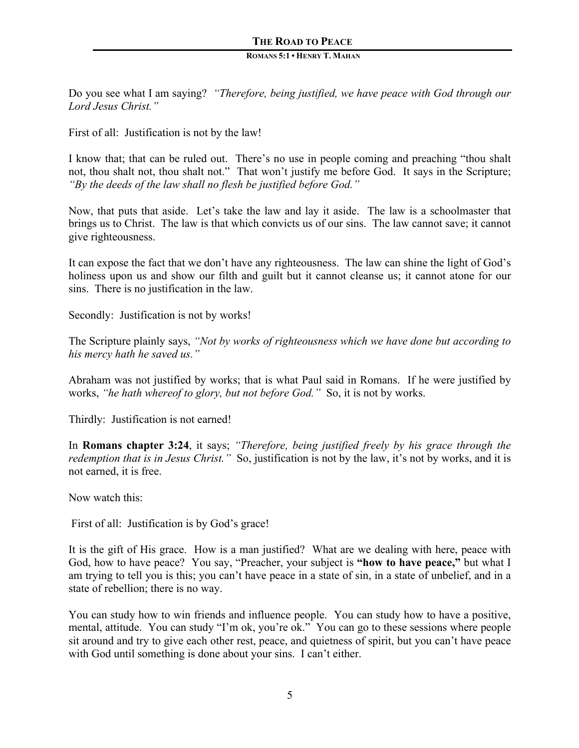#### **ROMANS 5:1 • HENRY T. MAHAN**

Do you see what I am saying? *"Therefore, being justified, we have peace with God through our Lord Jesus Christ."* 

First of all: Justification is not by the law!

I know that; that can be ruled out. There's no use in people coming and preaching "thou shalt not, thou shalt not, thou shalt not." That won't justify me before God. It says in the Scripture; *"By the deeds of the law shall no flesh be justified before God."* 

Now, that puts that aside. Let's take the law and lay it aside. The law is a schoolmaster that brings us to Christ. The law is that which convicts us of our sins. The law cannot save; it cannot give righteousness.

It can expose the fact that we don't have any righteousness. The law can shine the light of God's holiness upon us and show our filth and guilt but it cannot cleanse us; it cannot atone for our sins. There is no justification in the law.

Secondly: Justification is not by works!

The Scripture plainly says, *"Not by works of righteousness which we have done but according to his mercy hath he saved us."* 

Abraham was not justified by works; that is what Paul said in Romans. If he were justified by works, *"he hath whereof to glory, but not before God."* So, it is not by works.

Thirdly: Justification is not earned!

In **Romans chapter 3:24**, it says; *"Therefore, being justified freely by his grace through the redemption that is in Jesus Christ."* So, justification is not by the law, it's not by works, and it is not earned, it is free.

Now watch this:

First of all: Justification is by God's grace!

It is the gift of His grace. How is a man justified? What are we dealing with here, peace with God, how to have peace? You say, "Preacher, your subject is **"how to have peace,"** but what I am trying to tell you is this; you can't have peace in a state of sin, in a state of unbelief, and in a state of rebellion; there is no way.

You can study how to win friends and influence people. You can study how to have a positive, mental, attitude. You can study "I'm ok, you're ok." You can go to these sessions where people sit around and try to give each other rest, peace, and quietness of spirit, but you can't have peace with God until something is done about your sins. I can't either.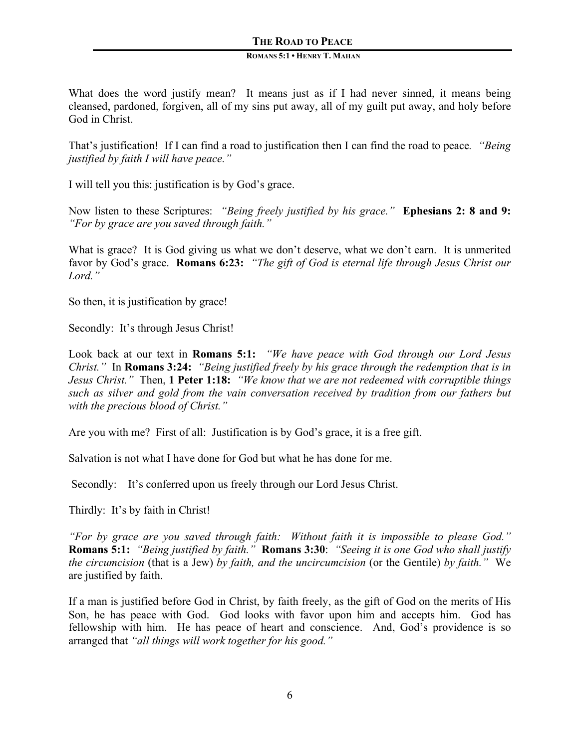#### **ROMANS 5:1 • HENRY T. MAHAN**

What does the word justify mean? It means just as if I had never sinned, it means being cleansed, pardoned, forgiven, all of my sins put away, all of my guilt put away, and holy before God in Christ.

That's justification! If I can find a road to justification then I can find the road to peace*. "Being justified by faith I will have peace."* 

I will tell you this: justification is by God's grace.

Now listen to these Scriptures: *"Being freely justified by his grace."* **Ephesians 2: 8 and 9:** *"For by grace are you saved through faith."* 

What is grace? It is God giving us what we don't deserve, what we don't earn. It is unmerited favor by God's grace. **Romans 6:23:** *"The gift of God is eternal life through Jesus Christ our Lord."*

So then, it is justification by grace!

Secondly: It's through Jesus Christ!

Look back at our text in **Romans 5:1:** *"We have peace with God through our Lord Jesus Christ."* In **Romans 3:24:** *"Being justified freely by his grace through the redemption that is in Jesus Christ."* Then, **1 Peter 1:18:** *"We know that we are not redeemed with corruptible things such as silver and gold from the vain conversation received by tradition from our fathers but with the precious blood of Christ."*

Are you with me? First of all: Justification is by God's grace, it is a free gift.

Salvation is not what I have done for God but what he has done for me.

Secondly: It's conferred upon us freely through our Lord Jesus Christ.

Thirdly: It's by faith in Christ!

*"For by grace are you saved through faith: Without faith it is impossible to please God."*  **Romans 5:1:** *"Being justified by faith."* **Romans 3:30**: *"Seeing it is one God who shall justify the circumcision* (that is a Jew) *by faith, and the uncircumcision* (or the Gentile) *by faith."* We are justified by faith.

If a man is justified before God in Christ, by faith freely, as the gift of God on the merits of His Son, he has peace with God. God looks with favor upon him and accepts him. God has fellowship with him. He has peace of heart and conscience. And, God's providence is so arranged that *"all things will work together for his good."*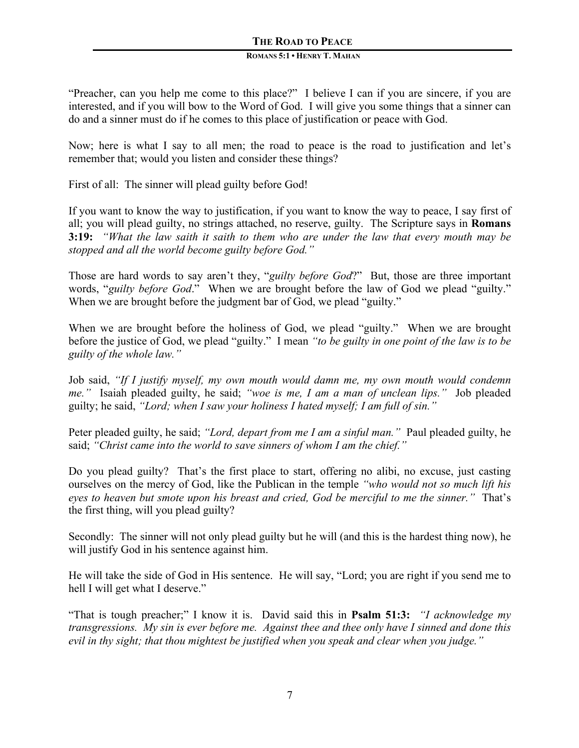#### **ROMANS 5:1 • HENRY T. MAHAN**

"Preacher, can you help me come to this place?" I believe I can if you are sincere, if you are interested, and if you will bow to the Word of God. I will give you some things that a sinner can do and a sinner must do if he comes to this place of justification or peace with God.

Now; here is what I say to all men; the road to peace is the road to justification and let's remember that; would you listen and consider these things?

First of all: The sinner will plead guilty before God!

If you want to know the way to justification, if you want to know the way to peace, I say first of all; you will plead guilty, no strings attached, no reserve, guilty. The Scripture says in **Romans 3:19:** *"What the law saith it saith to them who are under the law that every mouth may be stopped and all the world become guilty before God."*

Those are hard words to say aren't they, "*guilty before God*?" But, those are three important words, "*guilty before God*." When we are brought before the law of God we plead "guilty." When we are brought before the judgment bar of God, we plead "guilty."

When we are brought before the holiness of God, we plead "guilty." When we are brought before the justice of God, we plead "guilty." I mean *"to be guilty in one point of the law is to be guilty of the whole law."*

Job said, *"If I justify myself, my own mouth would damn me, my own mouth would condemn me."* Isaiah pleaded guilty, he said; *"woe is me, I am a man of unclean lips."* Job pleaded guilty; he said, *"Lord; when I saw your holiness I hated myself; I am full of sin."*

Peter pleaded guilty, he said; *"Lord, depart from me I am a sinful man."* Paul pleaded guilty, he said; *"Christ came into the world to save sinners of whom I am the chief."* 

Do you plead guilty? That's the first place to start, offering no alibi, no excuse, just casting ourselves on the mercy of God, like the Publican in the temple *"who would not so much lift his eyes to heaven but smote upon his breast and cried, God be merciful to me the sinner."* That's the first thing, will you plead guilty?

Secondly: The sinner will not only plead guilty but he will (and this is the hardest thing now), he will justify God in his sentence against him.

He will take the side of God in His sentence. He will say, "Lord; you are right if you send me to hell I will get what I deserve."

"That is tough preacher;" I know it is. David said this in **Psalm 51:3:** *"I acknowledge my transgressions. My sin is ever before me. Against thee and thee only have I sinned and done this evil in thy sight; that thou mightest be justified when you speak and clear when you judge."*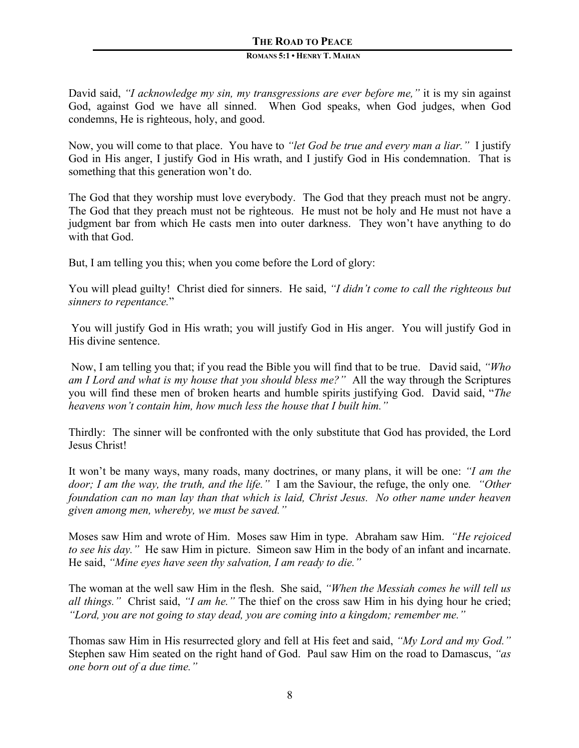#### **ROMANS 5:1 • HENRY T. MAHAN**

David said, *"I acknowledge my sin, my transgressions are ever before me,"* it is my sin against God, against God we have all sinned. When God speaks, when God judges, when God condemns, He is righteous, holy, and good.

Now, you will come to that place. You have to *"let God be true and every man a liar."* I justify God in His anger, I justify God in His wrath, and I justify God in His condemnation. That is something that this generation won't do.

The God that they worship must love everybody. The God that they preach must not be angry. The God that they preach must not be righteous. He must not be holy and He must not have a judgment bar from which He casts men into outer darkness. They won't have anything to do with that God.

But, I am telling you this; when you come before the Lord of glory:

You will plead guilty! Christ died for sinners. He said, *"I didn't come to call the righteous but sinners to repentance.*"

You will justify God in His wrath; you will justify God in His anger. You will justify God in His divine sentence.

Now, I am telling you that; if you read the Bible you will find that to be true. David said, *"Who am I Lord and what is my house that you should bless me?"* All the way through the Scriptures you will find these men of broken hearts and humble spirits justifying God. David said, "*The heavens won't contain him, how much less the house that I built him."*

Thirdly: The sinner will be confronted with the only substitute that God has provided, the Lord Jesus Christ!

It won't be many ways, many roads, many doctrines, or many plans, it will be one: *"I am the door; I am the way, the truth, and the life."* I am the Saviour, the refuge, the only one*. "Other foundation can no man lay than that which is laid, Christ Jesus. No other name under heaven given among men, whereby, we must be saved."*

Moses saw Him and wrote of Him. Moses saw Him in type. Abraham saw Him. *"He rejoiced to see his day."* He saw Him in picture. Simeon saw Him in the body of an infant and incarnate. He said, *"Mine eyes have seen thy salvation, I am ready to die."*

The woman at the well saw Him in the flesh. She said, *"When the Messiah comes he will tell us all things."* Christ said, *"I am he."* The thief on the cross saw Him in his dying hour he cried; *"Lord, you are not going to stay dead, you are coming into a kingdom; remember me."*

Thomas saw Him in His resurrected glory and fell at His feet and said, *"My Lord and my God."* Stephen saw Him seated on the right hand of God. Paul saw Him on the road to Damascus, *"as one born out of a due time."*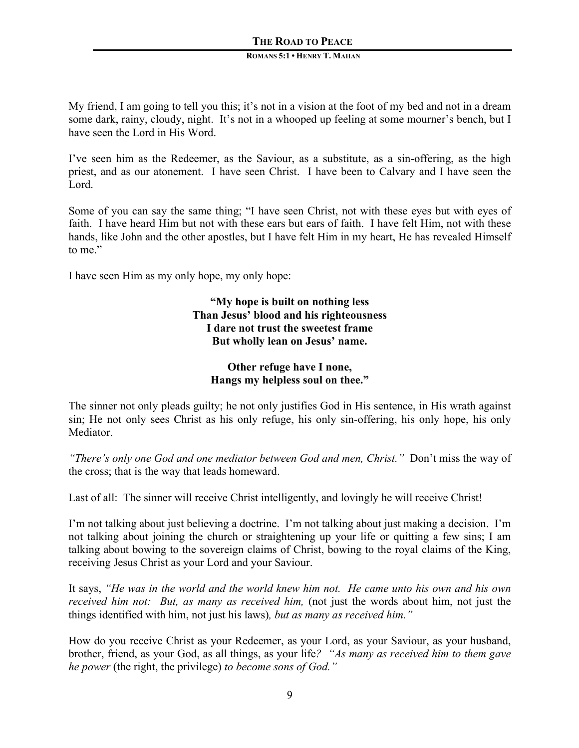#### **ROMANS 5:1 • HENRY T. MAHAN**

My friend, I am going to tell you this; it's not in a vision at the foot of my bed and not in a dream some dark, rainy, cloudy, night. It's not in a whooped up feeling at some mourner's bench, but I have seen the Lord in His Word.

I've seen him as the Redeemer, as the Saviour, as a substitute, as a sin-offering, as the high priest, and as our atonement. I have seen Christ. I have been to Calvary and I have seen the Lord.

Some of you can say the same thing; "I have seen Christ, not with these eyes but with eyes of faith. I have heard Him but not with these ears but ears of faith. I have felt Him, not with these hands, like John and the other apostles, but I have felt Him in my heart, He has revealed Himself to me"

I have seen Him as my only hope, my only hope:

**"My hope is built on nothing less Than Jesus' blood and his righteousness I dare not trust the sweetest frame But wholly lean on Jesus' name.**

#### **Other refuge have I none, Hangs my helpless soul on thee."**

The sinner not only pleads guilty; he not only justifies God in His sentence, in His wrath against sin; He not only sees Christ as his only refuge, his only sin-offering, his only hope, his only **Mediator** 

*"There's only one God and one mediator between God and men, Christ."* Don't miss the way of the cross; that is the way that leads homeward.

Last of all: The sinner will receive Christ intelligently, and lovingly he will receive Christ!

I'm not talking about just believing a doctrine. I'm not talking about just making a decision. I'm not talking about joining the church or straightening up your life or quitting a few sins; I am talking about bowing to the sovereign claims of Christ, bowing to the royal claims of the King, receiving Jesus Christ as your Lord and your Saviour.

It says, *"He was in the world and the world knew him not. He came unto his own and his own received him not: But, as many as received him, (not just the words about him, not just the* things identified with him, not just his laws)*, but as many as received him."*

How do you receive Christ as your Redeemer, as your Lord, as your Saviour, as your husband, brother, friend, as your God, as all things, as your life*? "As many as received him to them gave he power* (the right, the privilege) *to become sons of God."*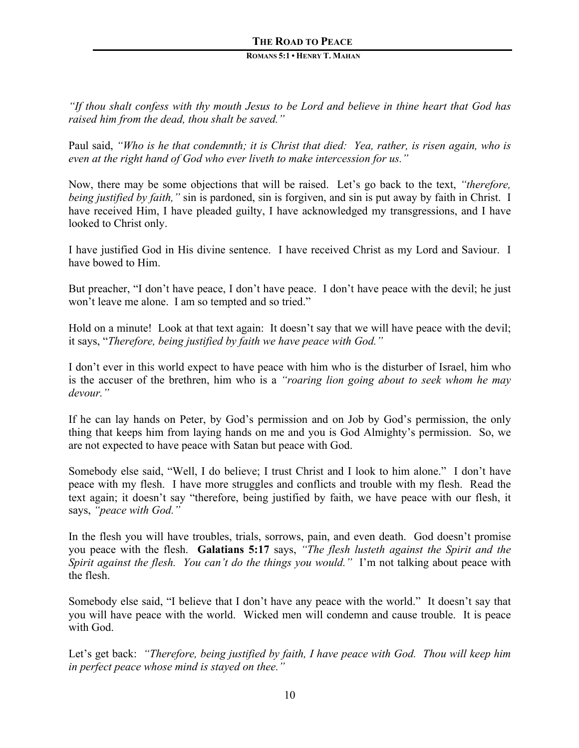#### **ROMANS 5:1 • HENRY T. MAHAN**

*"If thou shalt confess with thy mouth Jesus to be Lord and believe in thine heart that God has raised him from the dead, thou shalt be saved."*

Paul said, *"Who is he that condemnth; it is Christ that died: Yea, rather, is risen again, who is even at the right hand of God who ever liveth to make intercession for us."*

Now, there may be some objections that will be raised. Let's go back to the text, *"therefore, being justified by faith,"* sin is pardoned, sin is forgiven, and sin is put away by faith in Christ. I have received Him, I have pleaded guilty, I have acknowledged my transgressions, and I have looked to Christ only.

I have justified God in His divine sentence. I have received Christ as my Lord and Saviour. I have bowed to Him.

But preacher, "I don't have peace, I don't have peace. I don't have peace with the devil; he just won't leave me alone. I am so tempted and so tried."

Hold on a minute! Look at that text again: It doesn't say that we will have peace with the devil; it says, "*Therefore, being justified by faith we have peace with God."*

I don't ever in this world expect to have peace with him who is the disturber of Israel, him who is the accuser of the brethren, him who is a *"roaring lion going about to seek whom he may devour."*

If he can lay hands on Peter, by God's permission and on Job by God's permission, the only thing that keeps him from laying hands on me and you is God Almighty's permission. So, we are not expected to have peace with Satan but peace with God.

Somebody else said, "Well, I do believe; I trust Christ and I look to him alone." I don't have peace with my flesh. I have more struggles and conflicts and trouble with my flesh. Read the text again; it doesn't say "therefore, being justified by faith, we have peace with our flesh, it says, *"peace with God."*

In the flesh you will have troubles, trials, sorrows, pain, and even death. God doesn't promise you peace with the flesh. **Galatians 5:17** says, *"The flesh lusteth against the Spirit and the Spirit against the flesh. You can't do the things you would."* I'm not talking about peace with the flesh.

Somebody else said, "I believe that I don't have any peace with the world." It doesn't say that you will have peace with the world. Wicked men will condemn and cause trouble. It is peace with God.

Let's get back: *"Therefore, being justified by faith, I have peace with God. Thou will keep him in perfect peace whose mind is stayed on thee."*